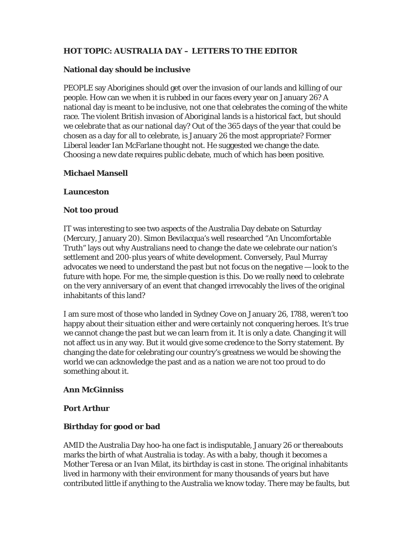# **HOT TOPIC: AUSTRALIA DAY – LETTERS TO THE EDITOR**

### **National day should be inclusive**

PEOPLE say Aborigines should get over the invasion of our lands and killing of our people. How can we when it is rubbed in our faces every year on January 26? A national day is meant to be inclusive, not one that celebrates the coming of the white race. The violent British invasion of Aboriginal lands is a historical fact, but should we celebrate that as our national day? Out of the 365 days of the year that could be chosen as a day for all to celebrate, is January 26 the most appropriate? Former Liberal leader Ian McFarlane thought not. He suggested we change the date. Choosing a new date requires public debate, much of which has been positive.

### **Michael Mansell**

#### **Launceston**

#### **Not too proud**

IT was interesting to see two aspects of the Australia Day debate on Saturday (Mercury, January 20). Simon Bevilacqua's well researched "An Uncomfortable Truth" lays out why Australians need to change the date we celebrate our nation's settlement and 200-plus years of white development. Conversely, Paul Murray advocates we need to understand the past but not focus on the negative — look to the future with hope. For me, the simple question is this. Do we really need to celebrate on the very anniversary of an event that changed irrevocably the lives of the original inhabitants of this land?

I am sure most of those who landed in Sydney Cove on January 26, 1788, weren't too happy about their situation either and were certainly not conquering heroes. It's true we cannot change the past but we can learn from it. It is only a date. Changing it will not affect us in any way. But it would give some credence to the Sorry statement. By changing the date for celebrating our country's greatness we would be showing the world we can acknowledge the past and as a nation we are not too proud to do something about it.

#### **Ann McGinniss**

#### **Port Arthur**

## **Birthday for good or bad**

AMID the Australia Day hoo-ha one fact is indisputable, January 26 or thereabouts marks the birth of what Australia is today. As with a baby, though it becomes a Mother Teresa or an Ivan Milat, its birthday is cast in stone. The original inhabitants lived in harmony with their environment for many thousands of years but have contributed little if anything to the Australia we know today. There may be faults, but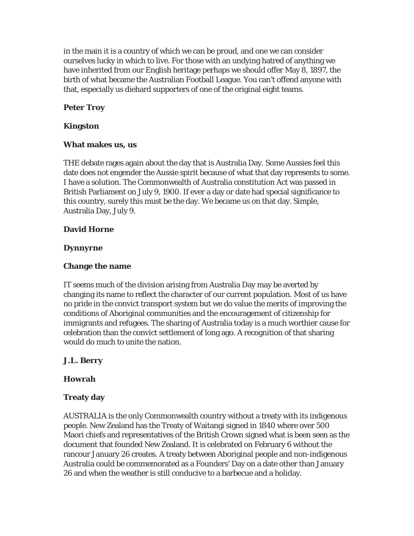in the main it is a country of which we can be proud, and one we can consider ourselves lucky in which to live. For those with an undying hatred of anything we have inherited from our English heritage perhaps we should offer May 8, 1897, the birth of what became the Australian Football League. You can't offend anyone with that, especially us diehard supporters of one of the original eight teams.

# **Peter Troy**

### **Kingston**

#### **What makes us, us**

THE debate rages again about the day that is Australia Day. Some Aussies feel this date does not engender the Aussie spirit because of what that day represents to some. I have a solution. The Commonwealth of Australia constitution Act was passed in British Parliament on July 9, 1900. If ever a day or date had special significance to this country, surely this must be the day. We became us on that day. Simple, Australia Day, July 9.

## **David Horne**

### **Dynnyrne**

## **Change the name**

IT seems much of the division arising from Australia Day may be averted by changing its name to reflect the character of our current population. Most of us have no pride in the convict transport system but we do value the merits of improving the conditions of Aboriginal communities and the encouragement of citizenship for immigrants and refugees. The sharing of Australia today is a much worthier cause for celebration than the convict settlement of long ago. A recognition of that sharing would do much to unite the nation.

## **J.L. Berry**

## **Howrah**

## **Treaty day**

AUSTRALIA is the only Commonwealth country without a treaty with its indigenous people. New Zealand has the Treaty of Waitangi signed in 1840 where over 500 Maori chiefs and representatives of the British Crown signed what is been seen as the document that founded New Zealand. It is celebrated on February 6 without the rancour January 26 creates. A treaty between Aboriginal people and non-indigenous Australia could be commemorated as a Founders' Day on a date other than January 26 and when the weather is still conducive to a barbecue and a holiday.